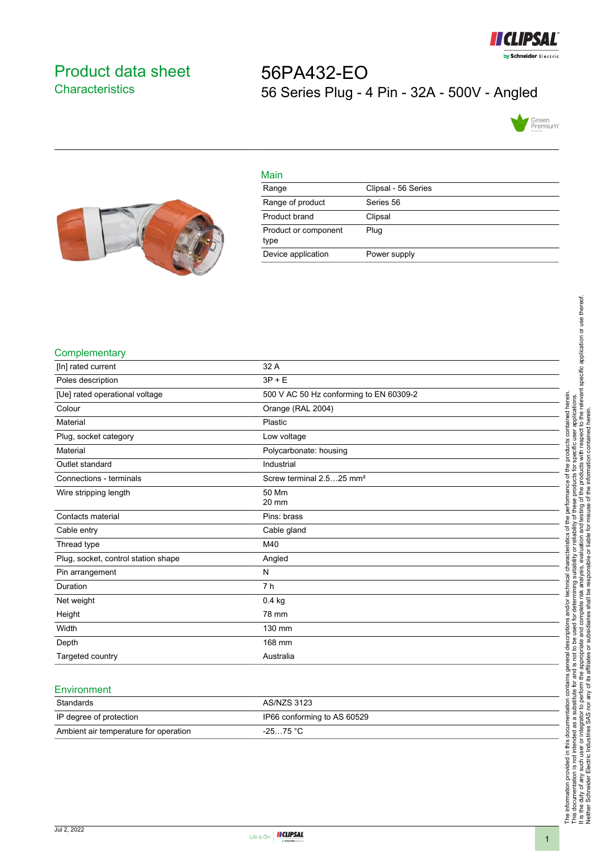

## <span id="page-0-0"></span>Product data sheet **Characteristics**

# 56PA432-EO 56 Series Plug - 4 Pin - 32A - 500V - Angled





| Main                         |                     |
|------------------------------|---------------------|
| Range                        | Clipsal - 56 Series |
| Range of product             | Series 56           |
| Product brand                | Clipsal             |
| Product or component<br>type | Plug                |
| Device application           | Power supply        |

#### **Complementary**

| 32 A                                    |
|-----------------------------------------|
| $3P + E$                                |
| 500 V AC 50 Hz conforming to EN 60309-2 |
| Orange (RAL 2004)                       |
| Plastic                                 |
| Low voltage                             |
| Polycarbonate: housing                  |
| Industrial                              |
| Screw terminal 2.525 mm <sup>2</sup>    |
| 50 Mm<br>20 mm                          |
| Pins: brass                             |
| Cable gland                             |
| M40                                     |
| Angled                                  |
| N                                       |
| 7 <sub>h</sub>                          |
| 0.4 kg                                  |
| 78 mm                                   |
| 130 mm                                  |
| 168 mm                                  |
| Australia                               |
|                                         |

#### **Environment**

| Standards                             | AS/NZS 3123                 |
|---------------------------------------|-----------------------------|
| IP degree of protection               | IP66 conforming to AS 60529 |
| Ambient air temperature for operation | $-2575 °C$                  |